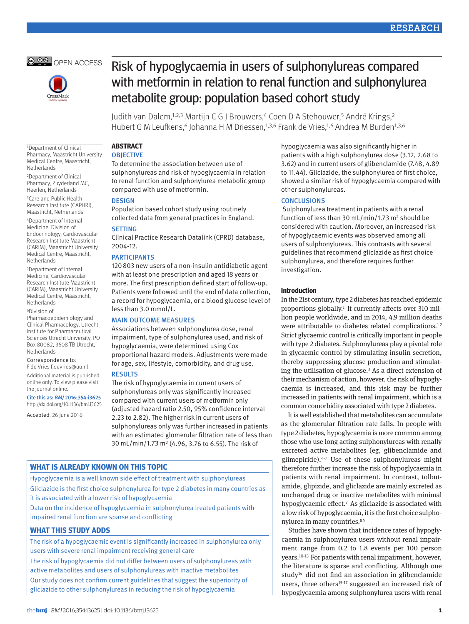



# Risk of hypoglycaemia in users of sulphonylureas compared with metformin in relation to renal function and sulphonylurea metabolite group: population based cohort study

Judith van Dalem,<sup>1,2,3</sup> Martijn C G J Brouwers,<sup>4</sup> Coen D A Stehouwer,<sup>5</sup> André Krings,<sup>2</sup> Hubert G M Leufkens,<sup>6</sup> Johanna H M Driessen,<sup>1,3,6</sup> Frank de Vries,<sup>1,6</sup> Andrea M Burden<sup>1,3,6</sup>

#### 1Department of Clinical Pharmacy, Maastricht University Medical Centre, Maastricht, Netherlands

2Department of Clinical Pharmacy, Zuyderland MC, Heerlen, Netherlands

<sup>3</sup>Care and Public Health Research Institute (CAPHRI), Maastricht, Netherlands

4Department of Internal Medicine, Division of Endocrinology, Cardiovascular Research Institute Maastricht (CARIM), Maastricht University Medical Centre, Maastricht, **Netherlands** 

5Department of Internal Medicine, Cardiovascular Research Institute Maastricht (CARIM), Maastricht University Medical Centre, Maastricht, **Netherlands** 

#### 6Division of

Pharmacoepidemiology and Clinical Pharmacology, Utrecht Institute for Pharmaceutical Sciences Utrecht University, PO Box 80082, 3508 TB Utrecht, Netherlands

#### Correspondence to:

F de Vries f.devries@uu.nl Additional material is published online only. To view please visit the journal online.

Cite this as: *BMJ* 2016;354:i3625 http://dx.doi.org/10.1136/bmj.i3625

Accepted: 26 June 2016

# **ABSTRACT**

## **OBJECTIVE**

To determine the association between use of sulphonylureas and risk of hypoglycaemia in relation to renal function and sulphonylurea metabolic group compared with use of metformin.

# **DESIGN**

Population based cohort study using routinely collected data from general practices in England.

# **SETTING**

Clinical Practice Research Datalink (CPRD) database, 2004-12.

# **PARTICIPANTS**

120803 new users of a non-insulin antidiabetic agent with at least one prescription and aged 18 years or more. The first prescription defined start of follow-up. Patients were followed until the end of data collection, a record for hypoglycaemia, or a blood glucose level of less than 3.0 mmol/L.

# Main outcome measures

Associations between sulphonylurea dose, renal impairment, type of sulphonylurea used, and risk of hypoglycaemia, were determined using Cox proportional hazard models. Adjustments were made for age, sex, lifestyle, comorbidity, and drug use.

# **RESULTS**

The risk of hypoglycaemia in current users of sulphonylureas only was significantly increased compared with current users of metformin only (adjusted hazard ratio 2.50, 95% confidence interval 2.23 to 2.82). The higher risk in current users of sulphonylureas only was further increased in patients with an estimated glomerular filtration rate of less than 30 mL/min/1.73 m2 (4.96, 3.76 to 6.55). The risk of

# **What is already known on this topic**

Hypoglycaemia is a well known side effect of treatment with sulphonylureas Gliclazide is the first choice sulphonylurea for type 2 diabetes in many countries as it is associated with a lower risk of hypoglycaemia

Data on the incidence of hypoglycaemia in sulphonylurea treated patients with impaired renal function are sparse and conflicting

# **What this study adds**

The risk of a hypoglycaemic event is significantly increased in sulphonylurea only users with severe renal impairment receiving general care

The risk of hypoglycaemia did not differ between users of sulphonylureas with active metabolites and users of sulphonylureas with inactive metabolites

Our study does not confirm current guidelines that suggest the superiority of gliclazide to other sulphonylureas in reducing the risk of hypoglycaemia

hypoglycaemia was also significantly higher in patients with a high sulphonylurea dose (3.12, 2.68 to 3.62) and in current users of glibenclamide (7.48, 4.89 to 11.44). Gliclazide, the sulphonylurea of first choice, showed a similar risk of hypoglycaemia compared with other sulphonylureas.

# **CONCLUSIONS**

 Sulphonylurea treatment in patients with a renal function of less than 30 mL/min/1.73  $m<sup>2</sup>$  should be considered with caution. Moreover, an increased risk of hypoglycaemic events was observed among all users of sulphonylureas. This contrasts with several guidelines that recommend gliclazide as first choice sulphonylurea, and therefore requires further investigation.

# **Introduction**

In the 21st century, type 2 diabetes has reached epidemic proportions globally.<sup>1</sup> It currently affects over 310 million people worldwide, and in 2014, 4.9 million deaths were attributable to diabetes related complications.<sup>12</sup> Strict glycaemic control is critically important in people with type 2 diabetes. Sulphonylureas play a pivotal role in glycaemic control by stimulating insulin secretion, thereby suppressing glucose production and stimulating the utilisation of glucose.<sup>3</sup> As a direct extension of their mechanism of action, however, the risk of hypoglycaemia is increased, and this risk may be further increased in patients with renal impairment, which is a common comorbidity associated with type 2 diabetes.

It is well established that metabolites can accumulate as the glomerular filtration rate falls. In people with type 2 diabetes, hypoglycaemia is more common among those who use long acting sulphonylureas with renally excreted active metabolites (eg, glibenclamide and glimepiride).4-7 Use of these sulphonylureas might therefore further increase the risk of hypoglycaemia in patients with renal impairment. In contrast, tolbutamide, glipizide, and gliclazide are mainly excreted as unchanged drug or inactive metabolites with minimal hypoglycaemic effect.7 As gliclazide is associated with a low risk of hypoglycaemia, it is the first choice sulphonylurea in many countries.8 <sup>9</sup>

Studies have shown that incidence rates of hypoglycaemia in sulphonylurea users without renal impairment range from 0.2 to 1.8 events per 100 person years.10-13 For patients with renal impairment, however, the literature is sparse and conflicting. Although one study14 did not find an association in glibenclamide users, three others<sup>15-17</sup> suggested an increased risk of hypoglycaemia among sulphonylurea users with renal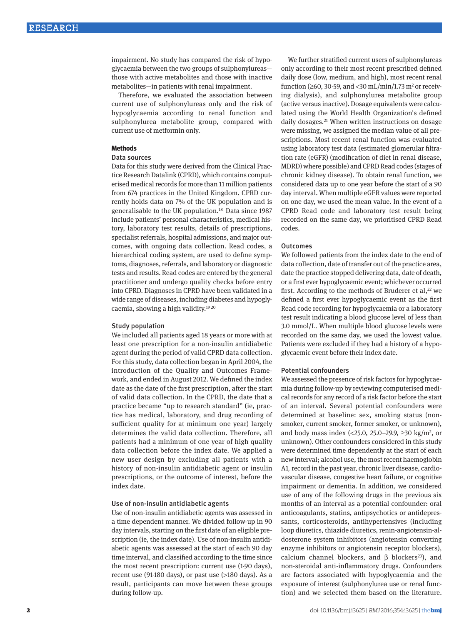impairment. No study has compared the risk of hypoglycaemia between the two groups of sulphonylureas those with active metabolites and those with inactive metabolites—in patients with renal impairment.

Therefore, we evaluated the association between current use of sulphonylureas only and the risk of hypoglycaemia according to renal function and sulphonylurea metabolite group, compared with current use of metformin only.

# **Methods**

#### Data sources

Data for this study were derived from the Clinical Practice Research Datalink (CPRD), which contains computerised medical records for more than 11 million patients from 674 practices in the United Kingdom. CPRD currently holds data on 7% of the UK population and is generalisable to the UK population.18 Data since 1987 include patients' personal characteristics, medical history, laboratory test results, details of prescriptions, specialist referrals, hospital admissions, and major outcomes, with ongoing data collection. Read codes, a hierarchical coding system, are used to define symptoms, diagnoses, referrals, and laboratory or diagnostic tests and results. Read codes are entered by the general practitioner and undergo quality checks before entry into CPRD. Diagnoses in CPRD have been validated in a wide range of diseases, including diabetes and hypoglycaemia, showing a high validity.19 <sup>20</sup>

# Study population

We included all patients aged 18 years or more with at least one prescription for a non-insulin antidiabetic agent during the period of valid CPRD data collection. For this study, data collection began in April 2004, the introduction of the Quality and Outcomes Framework, and ended in August 2012. We defined the index date as the date of the first prescription, after the start of valid data collection. In the CPRD, the date that a practice became "up to research standard" (ie, practice has medical, laboratory, and drug recording of sufficient quality for at minimum one year) largely determines the valid data collection. Therefore, all patients had a minimum of one year of high quality data collection before the index date. We applied a new user design by excluding all patients with a history of non-insulin antidiabetic agent or insulin prescriptions, or the outcome of interest, before the index date.

# Use of non-insulin antidiabetic agents

Use of non-insulin antidiabetic agents was assessed in a time dependent manner. We divided follow-up in 90 day intervals, starting on the first date of an eligible prescription (ie, the index date). Use of non-insulin antidiabetic agents was assessed at the start of each 90 day time interval, and classified according to the time since the most recent prescription: current use (1-90 days), recent use (91-180 days), or past use (>180 days). As a result, participants can move between these groups during follow-up.

We further stratified current users of sulphonylureas only according to their most recent prescribed defined daily dose (low, medium, and high), most recent renal function ( $\geq 60$ , 30-59, and <30 mL/min/1.73 m<sup>2</sup> or receiving dialysis), and sulphonylurea metabolite group (active versus inactive). Dosage equivalents were calculated using the World Health Organization's defined daily dosages.21 When written instructions on dosage were missing, we assigned the median value of all prescriptions. Most recent renal function was evaluated using laboratory test data (estimated glomerular filtration rate (eGFR) (modification of diet in renal disease, MDRD) where possible) and CPRD Read codes (stages of chronic kidney disease). To obtain renal function, we considered data up to one year before the start of a 90 day interval. When multiple eGFR values were reported on one day, we used the mean value. In the event of a CPRD Read code and laboratory test result being recorded on the same day, we prioritised CPRD Read codes.

# **Outcomes**

We followed patients from the index date to the end of data collection, date of transfer out of the practice area, date the practice stopped delivering data, date of death, or a first ever hypoglycaemic event; whichever occurred first. According to the methods of Bruderer et al, $^{22}$  we defined a first ever hypoglycaemic event as the first Read code recording for hypoglycaemia or a laboratory test result indicating a blood glucose level of less than 3.0 mmol/L. When multiple blood glucose levels were recorded on the same day, we used the lowest value. Patients were excluded if they had a history of a hypoglycaemic event before their index date.

# Potential confounders

We assessed the presence of risk factors for hypoglycaemia during follow-up by reviewing computerised medical records for any record of a risk factor before the start of an interval. Several potential confounders were determined at baseline: sex, smoking status (nonsmoker, current smoker, former smoker, or unknown), and body mass index (<25.0, 25.0–29.9, ≥30 kg/m<sup>2</sup>, or unknown). Other confounders considered in this study were determined time dependently at the start of each new interval; alcohol use, the most recent haemoglobin  $A1<sub>c</sub>$  record in the past year, chronic liver disease, cardiovascular disease, congestive heart failure, or cognitive impairment or dementia. In addition, we considered use of any of the following drugs in the previous six months of an interval as a potential confounder: oral anticoagulants, statins, antipsychotics or antidepressants, corticosteroids, antihypertensives (including loop diuretics, thiazide diuretics, renin-angiotensin-aldosterone system inhibitors (angiotensin converting enzyme inhibitors or angiotensin receptor blockers), calcium channel blockers, and β blockers<sup>23</sup>), and non-steroidal anti-inflammatory drugs. Confounders are factors associated with hypoglycaemia and the exposure of interest (sulphonylurea use or renal function) and we selected them based on the literature.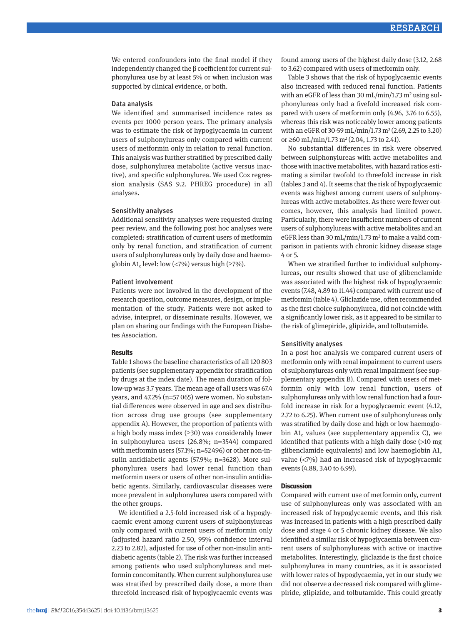We entered confounders into the final model if they independently changed the β coefficient for current sulphonylurea use by at least 5% or when inclusion was supported by clinical evidence, or both.

# Data analysis

We identified and summarised incidence rates as events per 1000 person years. The primary analysis was to estimate the risk of hypoglycaemia in current users of sulphonylureas only compared with current users of metformin only in relation to renal function. This analysis was further stratified by prescribed daily dose, sulphonylurea metabolite (active versus inactive), and specific sulphonylurea. We used Cox regression analysis (SAS 9.2. PHREG procedure) in all analyses.

#### Sensitivity analyses

Additional sensitivity analyses were requested during peer review, and the following post hoc analyses were completed: stratification of current users of metformin only by renal function, and stratification of current users of sulphonylureas only by daily dose and haemoglobin A1, level: low  $\left\langle \frac{20}{6} \right\rangle$  versus high  $\left\langle \geq 7\right\rangle$ .

#### Patient involvement

Patients were not involved in the development of the research question, outcome measures, design, or implementation of the study. Patients were not asked to advise, interpret, or disseminate results. However, we plan on sharing our findings with the European Diabetes Association.

# **Results**

Table 1 shows the baseline characteristics of all 120803 patients (see supplementary appendix for stratification by drugs at the index date). The mean duration of follow-up was 3.7 years. The mean age of all users was 67.4 years, and 47.2% (n=57065) were women. No substantial differences were observed in age and sex distribution across drug use groups (see supplementary appendix A). However, the proportion of patients with a high body mass index (≥30) was considerably lower in sulphonylurea users (26.8%; n=3544) compared with metformin users (57.1%; n=52496) or other non-insulin antidiabetic agents (57.9%; n=3628). More sulphonylurea users had lower renal function than metformin users or users of other non-insulin antidiabetic agents. Similarly, cardiovascular diseases were more prevalent in sulphonylurea users compared with the other groups.

We identified a 2.5-fold increased risk of a hypoglycaemic event among current users of sulphonylureas only compared with current users of metformin only (adjusted hazard ratio 2.50, 95% confidence interval 2.23 to 2.82), adjusted for use of other non-insulin antidiabetic agents (table 2). The risk was further increased among patients who used sulphonylureas and metformin concomitantly. When current sulphonylurea use was stratified by prescribed daily dose, a more than threefold increased risk of hypoglycaemic events was

Table 3 shows that the risk of hypoglycaemic events also increased with reduced renal function. Patients with an eGFR of less than 30 mL/min/1.73  $m<sup>2</sup>$  using sulphonylureas only had a fivefold increased risk compared with users of metformin only (4.96, 3.76 to 6.55), whereas this risk was noticeably lower among patients with an eGFR of 30-59 mL/min/1.73 m<sup>2</sup> (2.69, 2.25 to 3.20) or ≥60 mL/min/1.73 m<sup>2</sup> (2.04, 1.73 to 2.41).

No substantial differences in risk were observed between sulphonylureas with active metabolites and those with inactive metabolites, with hazard ratios estimating a similar twofold to threefold increase in risk (tables 3 and 4). It seems that the risk of hypoglycaemic events was highest among current users of sulphonylureas with active metabolites. As there were fewer outcomes, however, this analysis had limited power. Particularly, there were insufficient numbers of current users of sulphonylureas with active metabolites and an eGFR less than 30 mL/min/1.73  $m<sup>2</sup>$  to make a valid comparison in patients with chronic kidney disease stage 4 or 5.

When we stratified further to individual sulphonylureas, our results showed that use of glibenclamide was associated with the highest risk of hypoglycaemic events (7.48, 4.89 to 11.44) compared with current use of metformin (table 4). Gliclazide use, often recommended as the first choice sulphonylurea, did not coincide with a significantly lower risk, as it appeared to be similar to the risk of glimepiride, glipizide, and tolbutamide.

## Sensitivity analyses

In a post hoc analysis we compared current users of metformin only with renal impairment to current users of sulphonylureas only with renal impairment (see supplementary appendix B). Compared with users of metformin only with low renal function, users of sulphonylureas only with low renal function had a fourfold increase in risk for a hypoglycaemic event (4.12, 2.72 to 6.25). When current use of sulphonylureas only was stratified by daily dose and high or low haemoglobin  $A1_c$  values (see supplementary appendix C), we identified that patients with a high daily dose (>10 mg glibenclamide equivalents) and low haemoglobin  $A1_c$ value (<7%) had an increased risk of hypoglycaemic events (4.88, 3.40 to 6.99).

#### **Discussion**

Compared with current use of metformin only, current use of sulphonylureas only was associated with an increased risk of hypoglycaemic events, and this risk was increased in patients with a high prescribed daily dose and stage 4 or 5 chronic kidney disease. We also identified a similar risk of hypoglycaemia between current users of sulphonylureas with active or inactive metabolites. Interestingly, gliclazide is the first choice sulphonylurea in many countries, as it is associated with lower rates of hypoglycaemia, yet in our study we did not observe a decreased risk compared with glimepiride, glipizide, and tolbutamide. This could greatly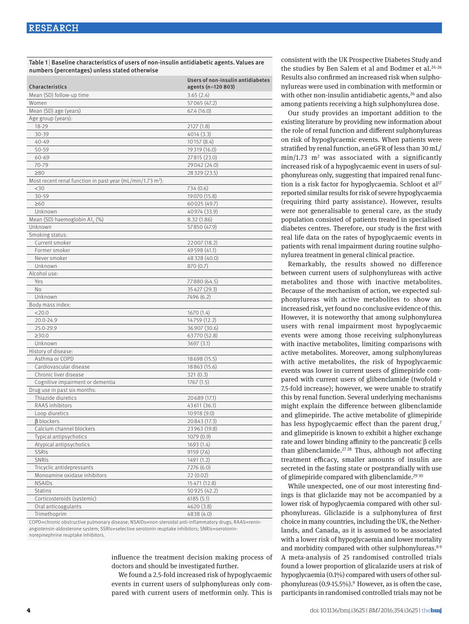Table 1 | Baseline characteristics of users of non-insulin antidiabetic agents. Values are numbers (percentages) unless stated otherwise

|                                                              | Users of non-insulin antidiabetes |
|--------------------------------------------------------------|-----------------------------------|
| Characteristics                                              | agents (n=120 803)                |
| Mean (SD) follow-up time                                     | 3.65(2.4)                         |
| Women                                                        | 57065 (47.2)                      |
| Mean (SD) age (years)                                        | 67.4(16.0)                        |
| Age group (years):                                           |                                   |
| 18-29                                                        | 2127 (1.8)                        |
| 30-39                                                        | 4014(3.3)                         |
| 40-49                                                        | 10157(8.4)                        |
| $50 - 59$                                                    | 19319 (16.0)                      |
| 60-69                                                        | 27815 (23.0)                      |
| 70-79                                                        | 29042 (24.0)                      |
| $\geq 80$                                                    | 28329 (23.5)                      |
| Most recent renal function in past year $(mL/min/1.73 m2)$ : |                                   |
| $<$ 30                                                       | 734 (0.6)                         |
| $30 - 59$                                                    | 19 0 70 (15.8)                    |
| $\geq 60$                                                    | 60025 (49.7)                      |
| Unknown                                                      | 40 974 (33.9)                     |
| Mean (SD) haemoglobin A1 <sub>c</sub> (%)                    | 8.32(1.86)                        |
| Unknown                                                      | 57850 (47.9)                      |
| Smoking status:                                              |                                   |
| Current smoker                                               | 22007 (18.2)                      |
| Former smoker                                                | 49 598 (41.1)                     |
| Never smoker                                                 | 48328 (40.0)                      |
| Unknown                                                      | 870 $(0.7)$                       |
| Alcohol use:                                                 |                                   |
| Yes                                                          | 77880 (64.5)                      |
| <b>No</b>                                                    | 35427 (29.3)                      |
| Unknown                                                      | 7496 (6.2)                        |
| Body mass index:                                             |                                   |
| $<$ 20.0                                                     | 1670(1.4)                         |
| 20.0-24.9                                                    | 14759 (12.2)                      |
| 25.0-29.9                                                    | 36907 (30.6)                      |
| ≥30.0                                                        | 63770 (52.8)                      |
| Unknown                                                      | 3697 (3.1)                        |
| History of disease:                                          |                                   |
| Asthma or COPD                                               | 18698 (15.5)                      |
| Cardiovascular disease                                       | 18863 (15.6)                      |
| Chronic liver disease                                        | 321(0.3)                          |
| Cognitive impairment or dementia                             | 1767(1.5)                         |
| Drug use in past six months:                                 |                                   |
| Thiazide diuretics                                           | 20689 (17.1)                      |
| RAAS inhibitors                                              | 43 611 (36.1)                     |
| Loop diuretics                                               | 10918 (9.0)                       |
| $\beta$ blockers                                             | 20843 (17.3)                      |
| Calcium channel blockers                                     | 23963 (19.8)                      |
| Typical antipsychotics                                       | 1079(0.9)                         |
| Atypical antipsychotics                                      | 1693 (1.4)                        |
| SSRIs                                                        | 9159 (7.6)                        |
| <b>SNRIS</b>                                                 | 1491 (1.2)                        |
| Tricyclic antidepressants                                    | 7276 (6.0)                        |
| Monoamine oxidase inhibitors                                 | 22 (0.02)                         |
| <b>NSAIDs</b>                                                | 15 471 (12.8)                     |
| <b>Statins</b>                                               | 50925 (42.2)                      |
| Corticosteroids (systemic)                                   | 6185(5.1)                         |
| Oral anticoagulants                                          | 4620 (3.8)                        |
| Trimethoprim                                                 | 4838 (4.0)                        |
|                                                              |                                   |

COPD=chronic obstructive pulmonary disease; NSAIDs=non-steroidal anti-inflammatory drugs; RAAS=reninangiotensin-aldosterone system; SSRIs=selective serotonin reuptake inhibitors; SNRIs=serotoninnorepinephrine reuptake inhibitors.

> influence the treatment decision making process of doctors and should be investigated further.

> We found a 2.5-fold increased risk of hypoglycaemic events in current users of sulphonylureas only compared with current users of metformin only. This is

consistent with the UK Prospective Diabetes Study and the studies by Ben Salem et al and Bodmer et al.24-26 Results also confirmed an increased risk when sulphonylureas were used in combination with metformin or with other non-insulin antidiabetic agents,<sup>26</sup> and also among patients receiving a high sulphonylurea dose.

Our study provides an important addition to the existing literature by providing new information about the role of renal function and different sulphonylureas on risk of hypoglycaemic events. When patients were stratified by renal function, an eGFR of less than 30 mL/  $min/1.73$  m<sup>2</sup> was associated with a significantly increased risk of a hypoglycaemic event in users of sulphonylureas only, suggesting that impaired renal function is a risk factor for hypoglycaemia. Schloot et al<sup>17</sup> reported similar results for risk of severe hypoglycaemia (requiring third party assistance). However, results were not generalisable to general care, as the study population consisted of patients treated in specialised diabetes centres. Therefore, our study is the first with real life data on the rates of hypoglycaemic events in patients with renal impairment during routine sulphonylurea treatment in general clinical practice.

Remarkably, the results showed no difference between current users of sulphonylureas with active metabolites and those with inactive metabolites. Because of the mechanism of action, we expected sulphonylureas with active metabolites to show an increased risk, yet found no conclusive evidence of this. However, it is noteworthy that among sulphonylurea users with renal impairment most hypoglycaemic events were among those receiving sulphonylureas with inactive metabolites, limiting comparisons with active metabolites. Moreover, among sulphonylureas with active metabolites, the risk of hypoglycaemic events was lower in current users of glimepiride compared with current users of glibenclamide (twofold *v* 7.5-fold increase); however, we were unable to stratify this by renal function. Several underlying mechanisms might explain the difference between glibenclamide and glimepiride. The active metabolite of glimepiride has less hypoglycaemic effect than the parent drug,<sup>7</sup> and glimepiride is known to exhibit a higher exchange rate and lower binding affinity to the pancreatic β cells than glibenclamide.<sup>27</sup> 28 Thus, although not affecting treatment efficacy, smaller amounts of insulin are secreted in the fasting state or postprandially with use of glimepiride compared with glibenclamide.<sup>29 30</sup>

While unexpected, one of our most interesting findings is that gliclazide may not be accompanied by a lower risk of hypoglycaemia compared with other sulphonylureas. Gliclazide is a sulphonylurea of first choice in many countries, including the UK, the Netherlands, and Canada, as it is assumed to be associated with a lower risk of hypoglycaemia and lower mortality and morbidity compared with other sulphonylureas.<sup>89</sup> A meta-analysis of 25 randomised controlled trials found a lower proportion of glicalazide users at risk of hypoglycaemia (0.1%) compared with users of other sulphonylureas (0.9-15.5%).<sup>9</sup> However, as is often the case, participants in randomised controlled trials may not be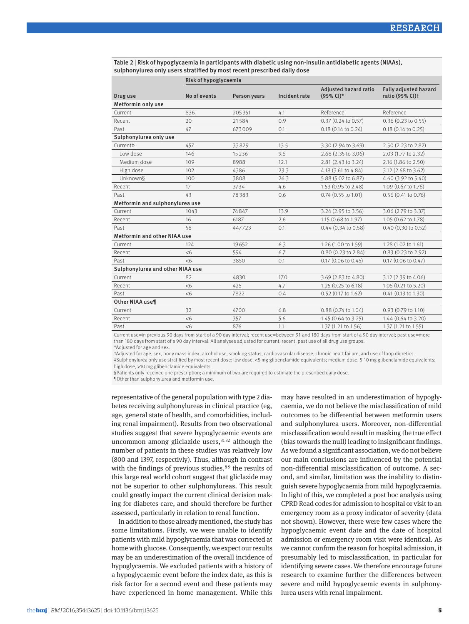Table 2 | Risk of hypoglycaemia in participants with diabetic using non-insulin antidiabetic agents (NIAAs), sulphonylurea only users stratified by most recent prescribed daily dose

|                                    |                                                                                             | Risk of hypoglycaemia |               |                                    |                                                 |  |  |  |
|------------------------------------|---------------------------------------------------------------------------------------------|-----------------------|---------------|------------------------------------|-------------------------------------------------|--|--|--|
| Drug use                           | No of events                                                                                | Person years          | Incident rate | Adjusted hazard ratio<br>(95% CI)* | <b>Fully adjusted hazard</b><br>ratio (95% CI)t |  |  |  |
| Metformin only use                 |                                                                                             |                       |               |                                    |                                                 |  |  |  |
| Current                            | 836                                                                                         | 205351                | 4.1           | Reference                          | Reference                                       |  |  |  |
| Recent                             | 20                                                                                          | 21584                 | 0.9           | 0.37 (0.24 to 0.57)                | 0.36 (0.23 to 0.55)                             |  |  |  |
| Past                               | 47                                                                                          | 673009                | 0.1           | $0.18$ (0.14 to 0.24)              | $0.18$ (0.14 to 0.25)                           |  |  |  |
| Sulphonylurea only use             |                                                                                             |                       |               |                                    |                                                 |  |  |  |
| Current‡:                          | 457                                                                                         | 33829                 | 13.5          | 3.30 (2.94 to 3.69)                | 2.50 (2.23 to 2.82)                             |  |  |  |
| Low dose                           | 146                                                                                         | 15236                 | 9.6           | 2.68 (2.35 to 3.06)                | 2.03 (1.77 to 2.32)                             |  |  |  |
| Medium dose                        | 109                                                                                         | 8988                  | 12.1          | 2.81 (2.43 to 3.24)                | 2.16 (1.86 to 2.50)                             |  |  |  |
| High dose                          | 102                                                                                         | 4386                  | 23.3          | 4.18 (3.61 to 4.84)                | 3.12 (2.68 to 3.62)                             |  |  |  |
| Unknown§                           | 100                                                                                         | 3808                  | 26.3          | 5.88 (5.02 to 6.87)                | 4.60 (3.92 to 5.40)                             |  |  |  |
| Recent                             | 17                                                                                          | 3734                  | 4.6           | 1.53 (0.95 to 2.48)                | 1.09 (0.67 to 1.76)                             |  |  |  |
| Past                               | 43                                                                                          | 78383                 | 0.6           | 0.74 (0.55 to 1.01)                | 0.56 (0.41 to 0.76)                             |  |  |  |
| Metformin and sulphonylurea use    |                                                                                             |                       |               |                                    |                                                 |  |  |  |
| Current                            | 1043                                                                                        | 74847                 | 13.9          | 3.24 (2.95 to 3.56)                | 3.06 (2.79 to 3.37)                             |  |  |  |
| Recent                             | 16                                                                                          | 6187                  | 2.6           | 1.15 (0.68 to 1.97)                | 1.05 (0.62 to 1.78)                             |  |  |  |
| Past                               | 58                                                                                          | 447723                | 0.1           | 0.44 (0.34 to 0.58)                | 0.40 (0.30 to 0.52)                             |  |  |  |
| Metformin and other NIAA use       |                                                                                             |                       |               |                                    |                                                 |  |  |  |
| Current                            | 124                                                                                         | 19652                 | 6.3           | 1.26 (1.00 to 1.59)                | 1.28 (1.02 to 1.61)                             |  |  |  |
| Recent                             | <6                                                                                          | 594                   | 6.7           | 0.80 (0.23 to 2.84)                | 0.83 (0.23 to 2.92)                             |  |  |  |
| Past                               | <6                                                                                          | 3850                  | 0.1           | $0.17$ (0.06 to 0.45)              | 0.17 (0.06 to 0.47)                             |  |  |  |
| Sulphonylurea and other NIAA use   |                                                                                             |                       |               |                                    |                                                 |  |  |  |
| Current                            | 82                                                                                          | 4830                  | 17.0          | 3.69 (2.83 to 4.80)                | 3.12 (2.39 to 4.06)                             |  |  |  |
| Recent                             | <6                                                                                          | 425                   | 4.7           | 1.25 (0.25 to 6.18)                | 1.05 (0.21 to 5.20)                             |  |  |  |
| Past                               | <6                                                                                          | 7822                  | 0.4           | 0.52 (0.17 to 1.62)                | 0.41 (0.13 to 1.30)                             |  |  |  |
| Other NIAA use¶                    |                                                                                             |                       |               |                                    |                                                 |  |  |  |
| Current                            | 32                                                                                          | 4700                  | 6.8           | 0.88 (0.74 to 1.04)                | 0.93 (0.79 to 1.10)                             |  |  |  |
| Recent                             | <6                                                                                          | 357                   | 5.6           | 1.45 (0.64 to 3.25)                | 1.44 (0.64 to 3.20)                             |  |  |  |
| Past                               | <6                                                                                          | 876                   | 1.1           | 1.37 (1.21 to 1.56)                | 1.37 (1.21 to 1.55)                             |  |  |  |
| $\sim$ $\sim$ $\sim$ $\sim$ $\sim$ | $\epsilon$<br>$\mathbf{r}$ $\mathbf{r}$ $\mathbf{r}$ $\mathbf{r}$ $\mathbf{r}$ $\mathbf{r}$ |                       |               |                                    |                                                 |  |  |  |

Current use=in previous 90 days from start of a 90 day interval; recent use=between 91 and 180 days from start of a 90 day interval; past use=more than 180 days from start of a 90 day interval. All analyses adjusted for current, recent, past use of all drug use groups. \*Adjusted for age and sex.

†Adjusted for age, sex, body mass index, alcohol use, smoking status, cardiovascular disease, chronic heart failure, and use of loop diuretics. ‡Sulphonylurea only use stratified by most recent dose: low dose, <5 mg glibenclamide equivalents; medium dose, 5-10 mg glibenclamide equivalents; high dose, >10 mg glibenclamide equivalents.

§Patients only received one prescription; a minimum of two are required to estimate the prescribed daily dose.

¶Other than sulphonylurea and metformin use.

representative of the general population with type 2 diabetes receiving sulphonylureas in clinical practice (eg, age, general state of health, and comorbidities, including renal impairment). Results from two observational studies suggest that severe hypoglycaemic events are uncommon among gliclazide users,<sup>31 32</sup> although the number of patients in these studies was relatively low (800 and 1397, respectivly). Thus, although in contrast with the findings of previous studies, $89$  the results of this large real world cohort suggest that gliclazide may not be superior to other sulphonylureas. This result could greatly impact the current clinical decision making for diabetes care, and should therefore be further assessed, particularly in relation to renal function.

In addition to those already mentioned, the study has some limitations. Firstly, we were unable to identify patients with mild hypoglycaemia that was corrected at home with glucose. Consequently, we expect our results may be an underestimation of the overall incidence of hypoglycaemia. We excluded patients with a history of a hypoglycaemic event before the index date, as this is risk factor for a second event and these patients may have experienced in home management. While this

may have resulted in an underestimation of hypoglycaemia, we do not believe the misclassification of mild outcomes to be differential between metformin users and sulphonylurea users. Moreover, non-differential misclassification would result in masking the true effect (bias towards the null) leading to insignificant findings. As we found a significant association, we do not believe our main conclusions are influenced by the potential non-differential misclassification of outcome. A second, and similar, limitation was the inability to distinguish severe hypoglycaemia from mild hypoglycaemia. In light of this, we completed a post hoc analysis using CPRD Read codes for admission to hospital or visit to an emergency room as a proxy indicator of severity (data not shown). However, there were few cases where the hypoglycaemic event date and the date of hospital admission or emergency room visit were identical. As we cannot confirm the reason for hospital admission, it presumably led to misclassification, in particular for identifying severe cases. We therefore encourage future research to examine further the differences between severe and mild hypoglycaemic events in sulphonylurea users with renal impairment.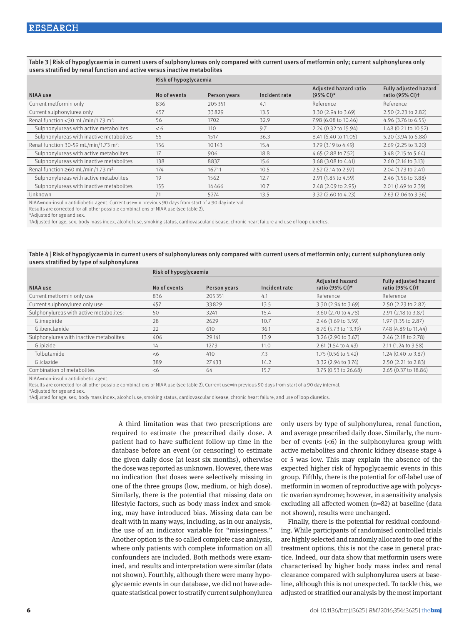Table 3 | Risk of hypoglycaemia in current users of sulphonylureas only compared with current users of metformin only; current sulphonylurea only users stratified by renal function and active versus inactive metabolites

|                                                       | Risk of hypoglycaemia |              |               |                                               |                                                             |  |
|-------------------------------------------------------|-----------------------|--------------|---------------|-----------------------------------------------|-------------------------------------------------------------|--|
| NIAA use                                              | No of events          | Person years | Incident rate | Adjusted hazard ratio<br>$(95\% \text{ Cl})*$ | <b>Fully adjusted hazard</b><br>ratio (95% CI) <sup>+</sup> |  |
| Current metformin only                                | 836                   | 205351       | 4.1           | Reference                                     | Reference                                                   |  |
| Current sulphonylurea only                            | 457                   | 33829        | 13.5          | 3.30 (2.94 to 3.69)                           | 2.50 (2.23 to 2.82)                                         |  |
| Renal function <30 mL/min/1.73 m <sup>2</sup> :       | 56                    | 1702         | 32.9          | 7.98 (6.08 to 10.46)                          | 4.96 (3.76 to 6.55)                                         |  |
| Sulphonylureas with active metabolites                | <6                    | 110          | 9.7           | 2.24 (0.32 to 15.94)                          | 1.48 (0.21 to 10.52)                                        |  |
| Sulphonylureas with inactive metabolites              | 55                    | 1517         | 36.3          | 8.41 (6.40 to 11.05)                          | 5.20 (3.94 to 6.88)                                         |  |
| Renal function 30-59 mL/min/1.73 m <sup>2</sup> :     | 156                   | 10143        | 15.4          | 3.79 (3.19 to 4.49)                           | 2.69 (2.25 to 3.20)                                         |  |
| Sulphonylureas with active metabolites                | 17                    | 906          | 18.8          | 4.65 (2.88 to 7.52)                           | 3.48 (2.15 to 5.64)                                         |  |
| Sulphonylureas with inactive metabolites              | 138                   | 8837         | 15.6          | 3.68 (3.08 to 4.41)                           | 2.60 (2.16 to 3.13)                                         |  |
| Renal function $\geq 60$ mL/min/1.73 m <sup>2</sup> : | 174                   | 16711        | 10.5          | 2.52 (2.14 to 2.97)                           | 2.04 (1.73 to 2.41)                                         |  |
| Sulphonylureas with active metabolites                | 19                    | 1562         | 12.7          | 2.91 (1.85 to 4.59)                           | 2.46 (1.56 to 3.88)                                         |  |
| Sulphonylureas with inactive metabolites              | 155                   | 14466        | 10.7          | 2.48 (2.09 to 2.95)                           | 2.01 (1.69 to 2.39)                                         |  |
| Unknown                                               | 71                    | 5274         | 13.5          | 3.32 (2.60 to 4.23)                           | 2.63 (2.06 to 3.36)                                         |  |

NIAA=non-insulin antidiabetic agent. Current use=in previous 90 days from start of a 90 day interval.

Results are corrected for all other possible combinations of NIAA use (see table 2).

\*Adjusted for age and sex.

†Adjusted for age, sex, body mass index, alcohol use, smoking status, cardiovascular disease, chronic heart failure and use of loop diuretics.

## Table 4 | Risk of hypoglycaemia in current users of sulphonylureas only compared with current users of metformin only; current sulphonylurea only users stratified by type of sulphonylurea

|                                          | Risk of hypoglycaemia |              |               |                                           |                                                             |  |
|------------------------------------------|-----------------------|--------------|---------------|-------------------------------------------|-------------------------------------------------------------|--|
| NIAA use                                 | No of events          | Person years | Incident rate | <b>Adjusted hazard</b><br>ratio (95% CI)* | <b>Fully adjusted hazard</b><br>ratio (95% CI) <sup>+</sup> |  |
| Current metformin only use               | 836                   | 205351       | 4.1           | Reference                                 | Reference                                                   |  |
| Current sulphonylurea only use           | 457                   | 33829        | 13.5          | 3.30 (2.94 to 3.69)                       | 2.50 (2.23 to 2.82)                                         |  |
| Sulphonylureas with active metabolites:  | 50                    | 3241         | 15.4          | 3.60 (2.70 to 4.78)                       | 2.91 (2.18 to 3.87)                                         |  |
| Glimepiride                              | 28                    | 2629         | 10.7          | 2.46 (1.69 to 3.59)                       | 1.97 (1.35 to 2.87)                                         |  |
| Glibenclamide                            | 22                    | 610          | 36.1          | 8.76 (5.73 to 13.39)                      | 7.48 (4.89 to 11.44)                                        |  |
| Sulphonylurea with inactive metabolites: | 406                   | 29141        | 13.9          | 3.26 (2.90 to 3.67)                       | 2.46 (2.18 to 2.78)                                         |  |
| Glipizide                                | 14                    | 1273         | 11.0          | 2.61 (1.54 to 4.43)                       | 2.11 (1.24 to 3.58)                                         |  |
| Tolbutamide                              | <6                    | 410          | 7.3           | 1.75 (0.56 to 5.42)                       | 1.24 (0.40 to 3.87)                                         |  |
| Gliclazide                               | 389                   | 27433        | 14.2          | 3.32 (2.94 to 3.74)                       | 2.50 (2.21 to 2.83)                                         |  |
| Combination of metabolites               | <6                    | 64           | 15.7          | 3.75 (0.53 to 26.68)                      | 2.65 (0.37 to 18.86)                                        |  |

NIAA=non-insulin antidiabetic agent.

Results are corrected for all other possible combinations of NIAA use (see table 2). Current use=in previous 90 days from start of a 90 day interval.

\*Adjusted for age and sex.

†Adjusted for age, sex, body mass index, alcohol use, smoking status, cardiovascular disease, chronic heart failure, and use of loop diuretics.

A third limitation was that two prescriptions are required to estimate the prescribed daily dose. A patient had to have sufficient follow-up time in the database before an event (or censoring) to estimate the given daily dose (at least six months), otherwise the dose was reported as unknown. However, there was no indication that doses were selectively missing in one of the three groups (low, medium, or high dose). Similarly, there is the potential that missing data on lifestyle factors, such as body mass index and smoking, may have introduced bias. Missing data can be dealt with in many ways, including, as in our analysis, the use of an indicator variable for "missingness." Another option is the so called complete case analysis, where only patients with complete information on all confounders are included. Both methods were examined, and results and interpretation were similar (data not shown). Fourthly, although there were many hypoglycaemic events in our database, we did not have adequate statistical power to stratify current sulphonylurea

only users by type of sulphonylurea, renal function, and average prescribed daily dose. Similarly, the number of events (<6) in the sulphonylurea group with active metabolites and chronic kidney disease stage 4 or 5 was low. This may explain the absence of the expected higher risk of hypoglycaemic events in this group. Fifthly, there is the potential for off-label use of metformin in women of reproductive age with polycystic ovarian syndrome; however, in a sensitivity analysis excluding all affected women (n=82) at baseline (data not shown), results were unchanged.

Finally, there is the potential for residual confounding. While participants of randomised controlled trials are highly selected and randomly allocated to one of the treatment options, this is not the case in general practice. Indeed, our data show that metformin users were characterised by higher body mass index and renal clearance compared with sulphonylurea users at baseline, although this is not unexpected. To tackle this, we adjusted or stratified our analysis by the most important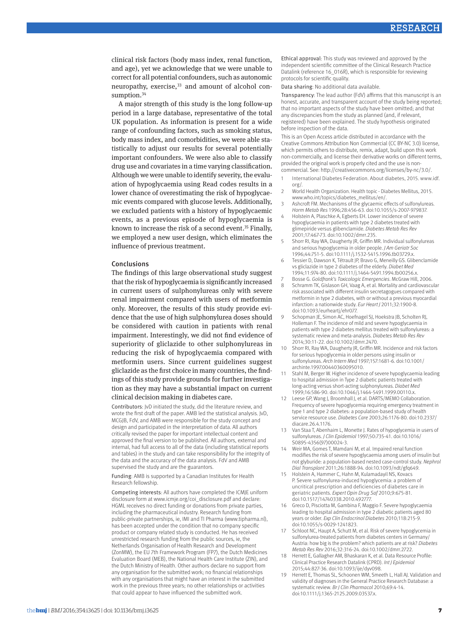clinical risk factors (body mass index, renal function, and age), yet we acknowledge that we were unable to correct for all potential confounders, such as autonomic neuropathy, exercise,<sup>33</sup> and amount of alcohol consumption.<sup>34</sup>

A major strength of this study is the long follow-up period in a large database, representative of the total UK population. As information is present for a wide range of confounding factors, such as smoking status, body mass index, and comorbidities, we were able statistically to adjust our results for several potentially important confounders. We were also able to classify drug use and covariates in a time varying classification. Although we were unable to identify severity, the evaluation of hypoglycaemia using Read codes results in a lower chance of overestimating the risk of hypoglycaemic events compared with glucose levels. Additionally, we excluded patients with a history of hypoglycaemic events, as a previous episode of hypoglycaemia is known to increase the risk of a second event.<sup>35</sup> Finally, we employed a new user design, which eliminates the influence of previous treatment.

# Conclusions

The findings of this large observational study suggest that the risk of hypoglycaemia is significantly increased in current users of sulphonylureas only with severe renal impairment compared with users of metformin only. Moreover, the results of this study provide evidence that the use of high sulphonylurea doses should be considered with caution in patients with renal impairment. Interestingly, we did not find evidence of superiority of gliclazide to other sulphonylureas in reducing the risk of hypoglycaemia compared with metformin users. Since current guidelines suggest gliclazide as the first choice in many countries, the findings of this study provide grounds for further investigation as they may have a substantial impact on current clinical decision making in diabetes care.

Contributors: JvD initiated the study, did the literature review, and wrote the first draft of the paper. AMB led the statistical analysis. JvD, MCGJB, FdV, and AMB were responsible for the study concept and design and participated in the interpretation of data. All authors critically revised the paper for important intellectual content and approved the final version to be published. All authors, external and internal, had full access to all of the data (including statistical reports and tables) in the study and can take responsibility for the integrity of the data and the accuracy of the data analysis. FdV and AMB supervised the study and are the guarantors.

Funding: AMB is supported by a Canadian Institutes for Health Research fellowship.

Competing interests: All authors have completed the ICMJE uniform disclosure form at www.icmje.org/coi\_disclosure.pdf and declare: HGML receives no direct funding or donations from private parties, including the pharmaceutical industry. Research funding from public-private partnerships, ie, IMI and TI Pharma (www.tipharma.nl), has been accepted under the condition that no company specific product or company related study is conducted. He has received unrestricted research funding from the public sources, ie, the Netherlands Organisation of Health Research and Development (ZonMW), the EU 7th Framework Program (FP7), the Dutch Medicines Evaluation Board (MEB), the National Health Care Institute (ZIN), and the Dutch Ministry of Health. Other authors declare no support from any organisation for the submitted work; no financial relationships with any organisations that might have an interest in the submitted work in the previous three years; no other relationships or activities that could appear to have influenced the submitted work.

Ethical approval: This study was reviewed and approved by the independent scientific committee of the Clinical Research Practice Datalink (reference 16\_016R), which is responsible for reviewing protocols for scientific quality.

Data sharing: No additional data available.

Transparency: The lead author (FdV) affirms that this manuscript is an honest, accurate, and transparent account of the study being reported; that no important aspects of the study have been omitted; and that any discrepancies from the study as planned (and, if relevant, registered) have been explained. The study hypothesis originated before inspection of the data.

This is an Open Access article distributed in accordance with the Creative Commons Attribution Non Commercial (CC BY-NC 3.0) license, which permits others to distribute, remix, adapt, build upon this work non-commercially, and license their derivative works on different terms, provided the original work is properly cited and the use is noncommercial. See: http://creativecommons.org/licenses/by-nc/3.0/.

- 1 International Diabetes Federation. About diabetes, 2015. www.idf. org/.
- 2 World Health Organization. Health topic Diabetes Mellitus, 2015. www.who.int/topics/diabetes\_mellitus/en/.
- Ashcroft FM. Mechanisms of the glycaemic effects of sulfonylureas. *Horm Metab Res* 1996;28:456-63. doi:10.1055/s-2007-979837.
- 4 Holstein A, Plaschke A, Egberts EH. Lower incidence of severe hypoglycaemia in patients with type 2 diabetes treated with glimepiride versus glibenclamide. *Diabetes Metab Res Rev* 2001;17:467-73. doi:10.1002/dmrr.235.
- 5 Shorr RI, Ray WA, Daugherty JR, Griffin MR. Individual sulfonylureas and serious hypoglycemia in older people. *J Am Geriatr Soc* 1996;44:751-5. doi:10.1111/j.1532-5415.1996.tb03729.x.
- 6 Tessier D, Dawson K, Tétrault JP, Bravo G, Meneilly GS. Glibenclamide vs gliclazide in type 2 diabetes of the elderly. *Diabet Med* 1994;11:974-80. doi:10.1111/j.1464-5491.1994.tb00256.x.
- 7 Bosse G. *Goldfrank's Toxicologic Emergencies*. McGraw Hill, 2006. Schramm TK, Gislason GH, Vaag A, et al. Mortality and cardiovascular risk associated with different insulin secretagogues compared with metformin in type 2 diabetes, with or without a previous myocardial infarction: a nationwide study. *Eur Heart J* 2011;32:1900-8. doi:10.1093/eurheartj/ehr077.
- 9 Schopman JE, Simon AC, Hoefnagel SJ, Hoekstra JB, Scholten RJ, Holleman F. The incidence of mild and severe hypoglycaemia in patients with type 2 diabetes mellitus treated with sulfonylureas: a systematic review and meta-analysis. *Diabetes Metab Res Rev* 2014;30:11-22. doi:10.1002/dmrr.2470.
- 10 Shorr RI, Ray WA, Daugherty JR, Griffin MR. Incidence and risk factors for serious hypoglycemia in older persons using insulin or sulfonylureas. *Arch Intern Med* 1997;157:1681-6. doi:10.1001/ archinte.1997.00440360095010.
- Stahl M, Berger W. Higher incidence of severe hypoglycaemia leading to hospital admission in Type 2 diabetic patients treated with long-acting versus short-acting sulphonylureas. *Diabet Med* 1999;16:586-90. doi:10.1046/j.1464-5491.1999.00110.x.
- 12 Leese GP, Wang J, Broomhall J, et al. DARTS/MEMO Collaboration. Frequency of severe hypoglycemia requiring emergency treatment in type 1 and type 2 diabetes: a population-based study of health service resource use. *Diabetes Care* 2003;26:1176-80. doi:10.2337/ diacare.26.4.1176.
- 13 Van Staa T, Abenhaim L, Monette J. Rates of hypoglycemia in users of sulfonylureas. *J Clin Epidemiol* 1997;50:735-41. doi:10.1016/ S0895-4356(97)00024-3.
- 14 Weir MA, Gomes T, Mamdani M, et al. Impaired renal function modifies the risk of severe hypoglycaemia among users of insulin but not glyburide: a population-based nested case-control study. *Nephrol Dial Transplant* 2011;26:1888-94. doi:10.1093/ndt/gfq649.
- 15 Holstein A, Hammer C, Hahn M, Kulamadayil NS, Kovacs P. Severe sulfonylurea-induced hypoglycemia: a problem of uncritical prescription and deficiencies of diabetes care in geriatric patients. *Expert Opin Drug Saf* 2010;9:675-81. doi:10.1517/14740338.2010.492777.
- 16 Greco D, Pisciotta M, Gambina F, Maggio F. Severe hypoglycaemia leading to hospital admission in type 2 diabetic patients aged 80 years or older. *Exp Clin Endocrinol Diabetes* 2010;118:215-9. doi:10.1055/s-0029-1241823.
- 17 Schloot NC, Haupt A, Schutt M, et al. Risk of severe hypoglycemia in sulfonylurea-treated patients from diabetes centers in Germany/ Austria: how big is the problem? which patients are at risk? *Diabetes Metab Res Rev* 2016;32:316-24. doi:10.1002/dmrr.2722.
- 18 Herrett E, Gallagher AM, Bhaskaran K, et al. Data Resource Profile: Clinical Practice Research Datalink (CPRD). *Int J Epidemiol* 2015;44:827-36. doi:10.1093/ije/dyv098.
- 19 Herrett E, Thomas SL, Schoonen WM, Smeeth L, Hall AI. Validation and validity of diagnoses in the General Practice Research Database: a systematic review. *Br J Clin Pharmacol* 2010;69:4-14. doi:10.1111/j.1365-2125.2009.03537.x.